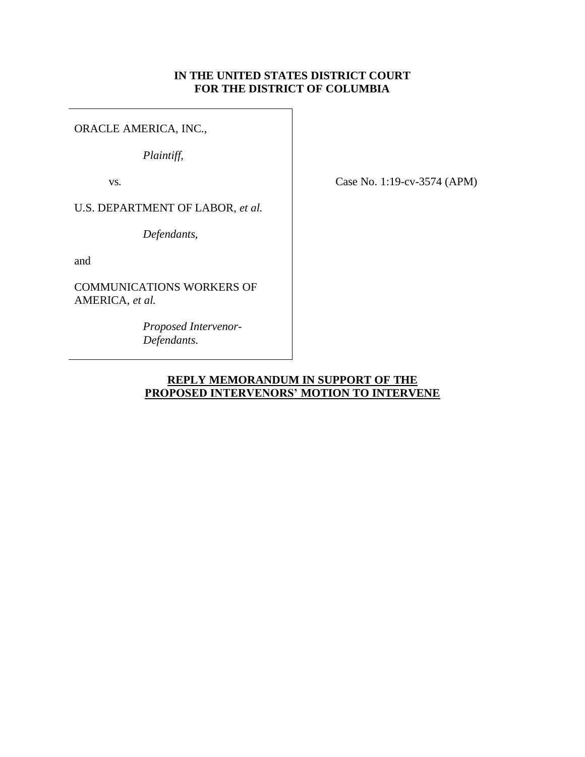# **IN THE UNITED STATES DISTRICT COURT FOR THE DISTRICT OF COLUMBIA**

ORACLE AMERICA, INC.,

*Plaintiff*,

vs*.*

Case No. 1:19-cv-3574 (APM)

U.S. DEPARTMENT OF LABOR, *et al.*

*Defendants*,

and

COMMUNICATIONS WORKERS OF AMERICA, *et al.*

> *Proposed Intervenor- Defendants*.

# **REPLY MEMORANDUM IN SUPPORT OF THE PROPOSED INTERVENORS' MOTION TO INTERVENE**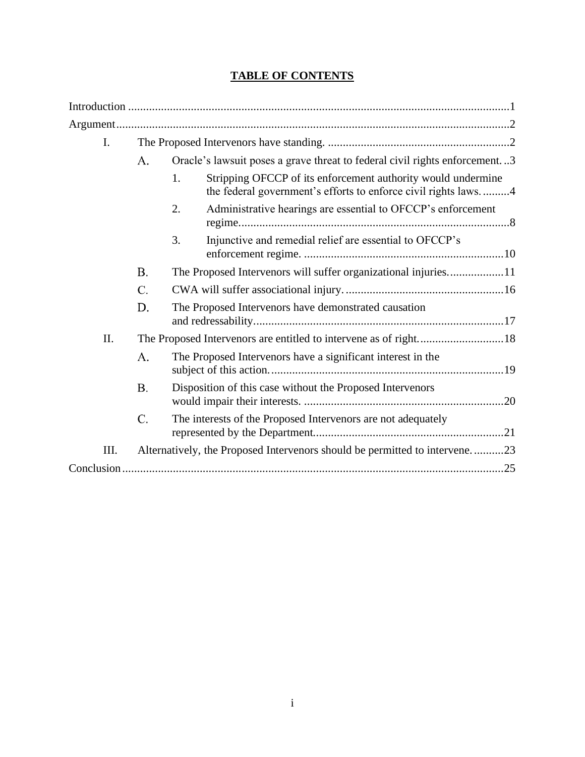# **TABLE OF CONTENTS**

| $\mathbf{I}$ . |                                                                  |                                                                                                                                      |  |  |
|----------------|------------------------------------------------------------------|--------------------------------------------------------------------------------------------------------------------------------------|--|--|
|                | A.                                                               | Oracle's lawsuit poses a grave threat to federal civil rights enforcement3                                                           |  |  |
|                |                                                                  | Stripping OFCCP of its enforcement authority would undermine<br>1.<br>the federal government's efforts to enforce civil rights laws4 |  |  |
|                |                                                                  | Administrative hearings are essential to OFCCP's enforcement<br>2.                                                                   |  |  |
|                |                                                                  | Injunctive and remedial relief are essential to OFCCP's<br>3.                                                                        |  |  |
|                | B.                                                               | The Proposed Intervenors will suffer organizational injuries11                                                                       |  |  |
|                | C.                                                               |                                                                                                                                      |  |  |
|                | D.                                                               | The Proposed Intervenors have demonstrated causation                                                                                 |  |  |
| II.            | The Proposed Intervenors are entitled to intervene as of right18 |                                                                                                                                      |  |  |
|                | A.                                                               | The Proposed Intervenors have a significant interest in the                                                                          |  |  |
|                | <b>B.</b>                                                        | Disposition of this case without the Proposed Intervenors                                                                            |  |  |
|                | C.                                                               | The interests of the Proposed Intervenors are not adequately                                                                         |  |  |
| III.           |                                                                  | Alternatively, the Proposed Intervenors should be permitted to intervene23                                                           |  |  |
|                |                                                                  |                                                                                                                                      |  |  |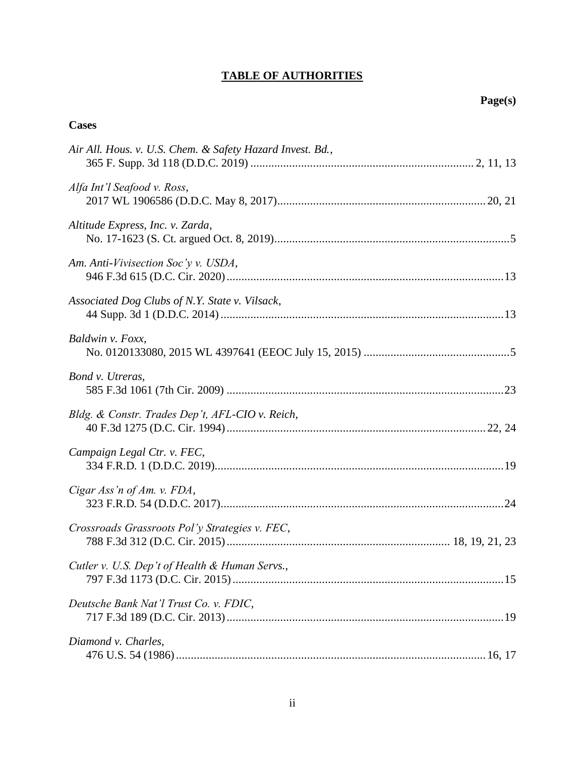# **TABLE OF AUTHORITIES**

# **Cases**

| Air All. Hous. v. U.S. Chem. & Safety Hazard Invest. Bd., |
|-----------------------------------------------------------|
| Alfa Int'l Seafood v. Ross,                               |
| Altitude Express, Inc. v. Zarda,                          |
| Am. Anti-Vivisection Soc'y v. USDA,                       |
| Associated Dog Clubs of N.Y. State v. Vilsack,            |
| Baldwin v. Foxx,                                          |
| Bond v. Utreras,                                          |
| Bldg. & Constr. Trades Dep't, AFL-CIO v. Reich,           |
| Campaign Legal Ctr. v. FEC,                               |
| Cigar Ass'n of Am. v. FDA,                                |
| Crossroads Grassroots Pol'y Strategies v. FEC,            |
| Cutler v. U.S. Dep't of Health & Human Servs.,            |
| Deutsche Bank Nat'l Trust Co. v. FDIC,                    |
| Diamond v. Charles,                                       |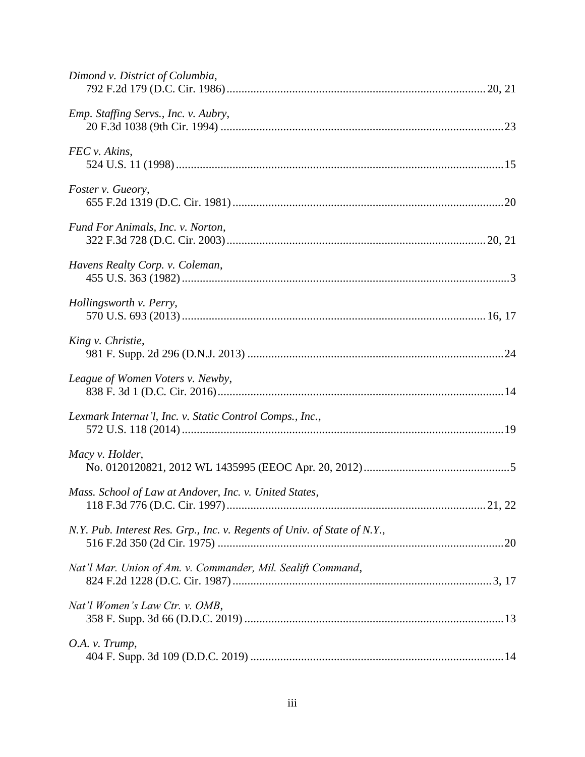| Dimond v. District of Columbia,                                          |  |
|--------------------------------------------------------------------------|--|
| Emp. Staffing Servs., Inc. v. Aubry,                                     |  |
| FEC v. Akins,                                                            |  |
| Foster v. Gueory,                                                        |  |
| Fund For Animals, Inc. v. Norton,                                        |  |
| Havens Realty Corp. v. Coleman,                                          |  |
| Hollingsworth v. Perry,                                                  |  |
| King v. Christie,                                                        |  |
| League of Women Voters v. Newby,                                         |  |
| Lexmark Internat'l, Inc. v. Static Control Comps., Inc.,                 |  |
| Macy v. Holder,                                                          |  |
| Mass. School of Law at Andover, Inc. v. United States,                   |  |
| N.Y. Pub. Interest Res. Grp., Inc. v. Regents of Univ. of State of N.Y., |  |
| Nat'l Mar. Union of Am. v. Commander, Mil. Sealift Command,              |  |
| Nat'l Women's Law Ctr. v. OMB,                                           |  |
| O.A. v. Trump,                                                           |  |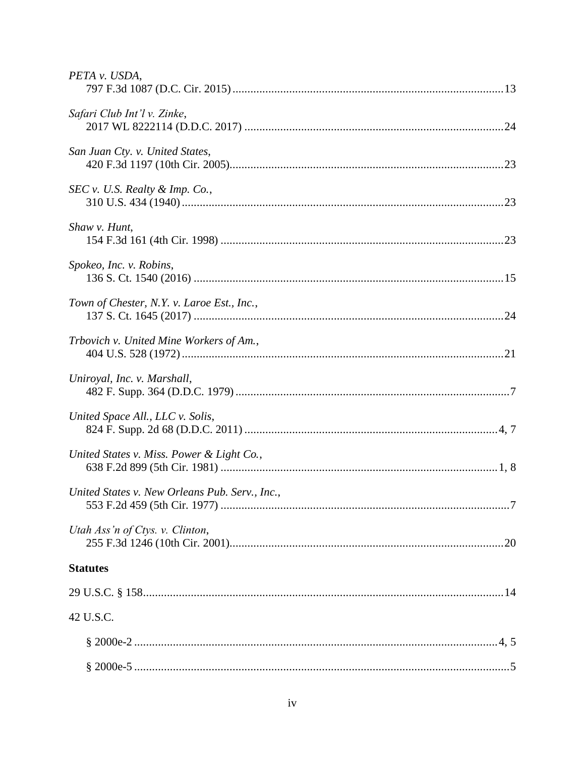| PETA v. USDA,                                  |
|------------------------------------------------|
| Safari Club Int'l v. Zinke,                    |
| San Juan Cty. v. United States,                |
| $SEC v. U.S. \text{ Realty & Imp. Co., }$      |
| Shaw v. Hunt,                                  |
| Spokeo, Inc. v. Robins,                        |
| Town of Chester, N.Y. v. Laroe Est., Inc.,     |
| Trbovich v. United Mine Workers of Am.,        |
| Uniroyal, Inc. v. Marshall,                    |
| United Space All., LLC v. Solis,               |
| United States v. Miss. Power & Light Co.,      |
| United States v. New Orleans Pub. Serv., Inc., |
| Utah Ass'n of Ctys. v. Clinton,                |
| <b>Statutes</b>                                |
|                                                |
| 42 U.S.C.                                      |
|                                                |
|                                                |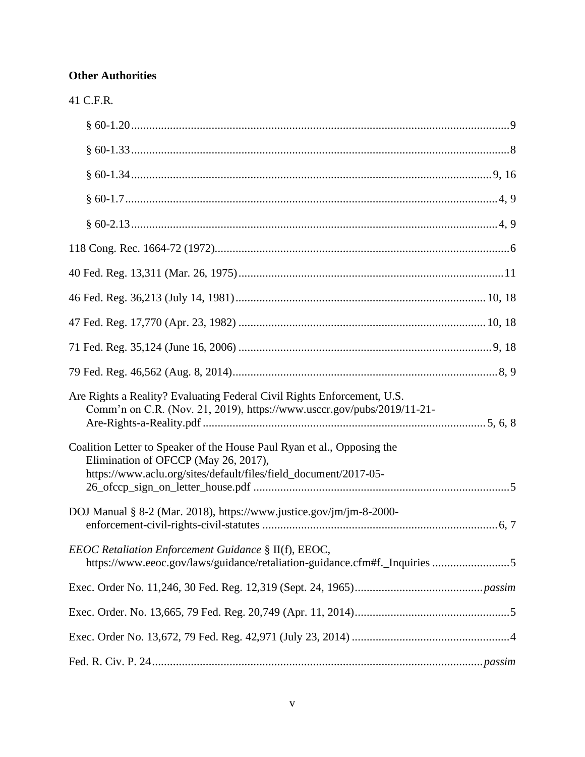# **Other Authorities**

| יי |
|----|
|    |

| Are Rights a Reality? Evaluating Federal Civil Rights Enforcement, U.S.<br>Comm'n on C.R. (Nov. 21, 2019), https://www.usccr.gov/pubs/2019/11-21-                                   |  |
|-------------------------------------------------------------------------------------------------------------------------------------------------------------------------------------|--|
| Coalition Letter to Speaker of the House Paul Ryan et al., Opposing the<br>Elimination of OFCCP (May 26, 2017),<br>https://www.aclu.org/sites/default/files/field_document/2017-05- |  |
| DOJ Manual § 8-2 (Mar. 2018), https://www.justice.gov/jm/jm-8-2000-                                                                                                                 |  |
| EEOC Retaliation Enforcement Guidance § II(f), EEOC,<br>https://www.eeoc.gov/laws/guidance/retaliation-guidance.cfm#f._Inquiries 5                                                  |  |
|                                                                                                                                                                                     |  |
|                                                                                                                                                                                     |  |
|                                                                                                                                                                                     |  |
|                                                                                                                                                                                     |  |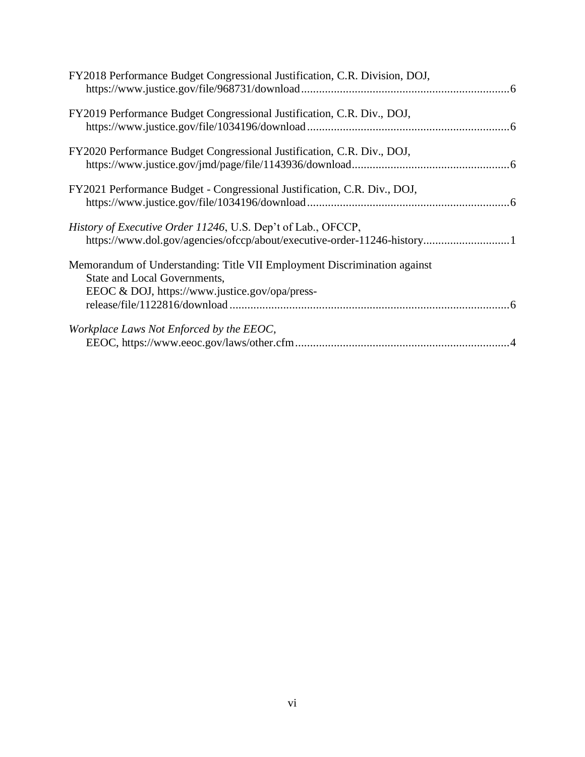| FY2018 Performance Budget Congressional Justification, C.R. Division, DOJ,                                                                                 |  |
|------------------------------------------------------------------------------------------------------------------------------------------------------------|--|
| FY2019 Performance Budget Congressional Justification, C.R. Div., DOJ,                                                                                     |  |
| FY2020 Performance Budget Congressional Justification, C.R. Div., DOJ,                                                                                     |  |
| FY2021 Performance Budget - Congressional Justification, C.R. Div., DOJ,                                                                                   |  |
| History of Executive Order 11246, U.S. Dep't of Lab., OFCCP,                                                                                               |  |
| Memorandum of Understanding: Title VII Employment Discrimination against<br>State and Local Governments,<br>EEOC & DOJ, https://www.justice.gov/opa/press- |  |
| Workplace Laws Not Enforced by the EEOC,                                                                                                                   |  |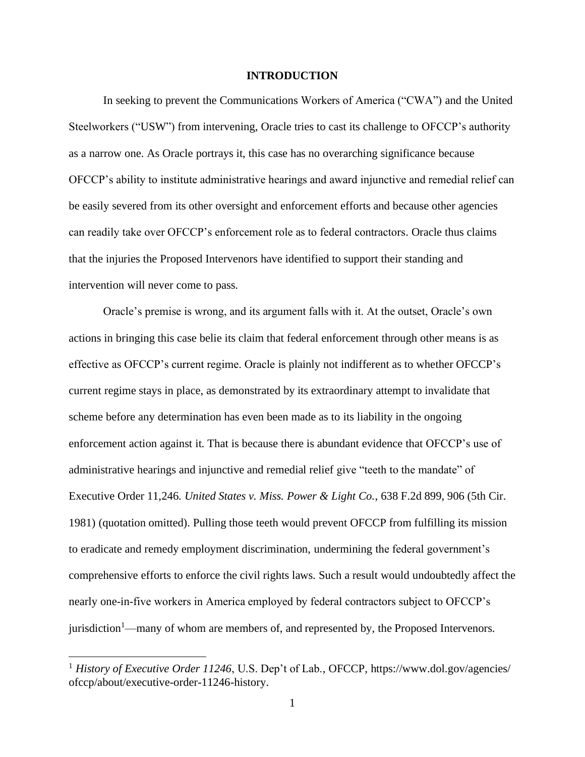### **INTRODUCTION**

<span id="page-7-0"></span>In seeking to prevent the Communications Workers of America ("CWA") and the United Steelworkers ("USW") from intervening, Oracle tries to cast its challenge to OFCCP's authority as a narrow one. As Oracle portrays it, this case has no overarching significance because OFCCP's ability to institute administrative hearings and award injunctive and remedial relief can be easily severed from its other oversight and enforcement efforts and because other agencies can readily take over OFCCP's enforcement role as to federal contractors. Oracle thus claims that the injuries the Proposed Intervenors have identified to support their standing and intervention will never come to pass.

Oracle's premise is wrong, and its argument falls with it. At the outset, Oracle's own actions in bringing this case belie its claim that federal enforcement through other means is as effective as OFCCP's current regime. Oracle is plainly not indifferent as to whether OFCCP's current regime stays in place, as demonstrated by its extraordinary attempt to invalidate that scheme before any determination has even been made as to its liability in the ongoing enforcement action against it. That is because there is abundant evidence that OFCCP's use of administrative hearings and injunctive and remedial relief give "teeth to the mandate" of Executive Order 11,246. *United States v. Miss. Power & Light Co.*, 638 F.2d 899, 906 (5th Cir. 1981) (quotation omitted). Pulling those teeth would prevent OFCCP from fulfilling its mission to eradicate and remedy employment discrimination, undermining the federal government's comprehensive efforts to enforce the civil rights laws. Such a result would undoubtedly affect the nearly one-in-five workers in America employed by federal contractors subject to OFCCP's jurisdiction<sup>1</sup>—many of whom are members of, and represented by, the Proposed Intervenors.

<span id="page-7-2"></span><span id="page-7-1"></span><sup>&</sup>lt;sup>1</sup> *History of Executive Order 11246*, U.S. Dep't of Lab., OFCCP, https://www.dol.gov/agencies/ ofccp/about/executive-order-11246-history.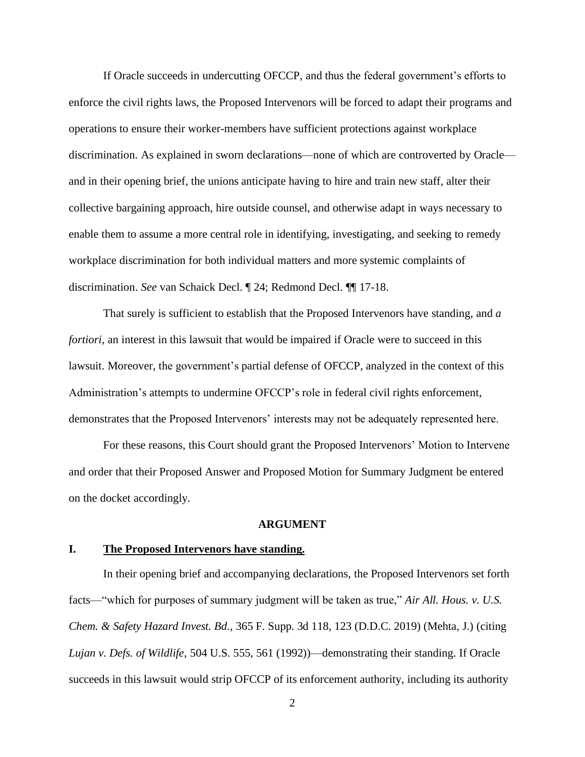If Oracle succeeds in undercutting OFCCP, and thus the federal government's efforts to enforce the civil rights laws, the Proposed Intervenors will be forced to adapt their programs and operations to ensure their worker-members have sufficient protections against workplace discrimination. As explained in sworn declarations—none of which are controverted by Oracle and in their opening brief, the unions anticipate having to hire and train new staff, alter their collective bargaining approach, hire outside counsel, and otherwise adapt in ways necessary to enable them to assume a more central role in identifying, investigating, and seeking to remedy workplace discrimination for both individual matters and more systemic complaints of discrimination. *See* van Schaick Decl. ¶ 24; Redmond Decl. ¶¶ 17-18.

That surely is sufficient to establish that the Proposed Intervenors have standing, and *a fortiori*, an interest in this lawsuit that would be impaired if Oracle were to succeed in this lawsuit. Moreover, the government's partial defense of OFCCP, analyzed in the context of this Administration's attempts to undermine OFCCP's role in federal civil rights enforcement, demonstrates that the Proposed Intervenors' interests may not be adequately represented here.

For these reasons, this Court should grant the Proposed Intervenors' Motion to Intervene and order that their Proposed Answer and Proposed Motion for Summary Judgment be entered on the docket accordingly.

## <span id="page-8-2"></span>**ARGUMENT**

## <span id="page-8-1"></span><span id="page-8-0"></span>**I. The Proposed Intervenors have standing.**

In their opening brief and accompanying declarations, the Proposed Intervenors set forth facts—"which for purposes of summary judgment will be taken as true," *Air All. Hous. v. U.S. Chem. & Safety Hazard Invest. Bd.*, 365 F. Supp. 3d 118, 123 (D.D.C. 2019) (Mehta, J.) (citing *Lujan v. Defs. of Wildlife*, 504 U.S. 555, 561 (1992))—demonstrating their standing. If Oracle succeeds in this lawsuit would strip OFCCP of its enforcement authority, including its authority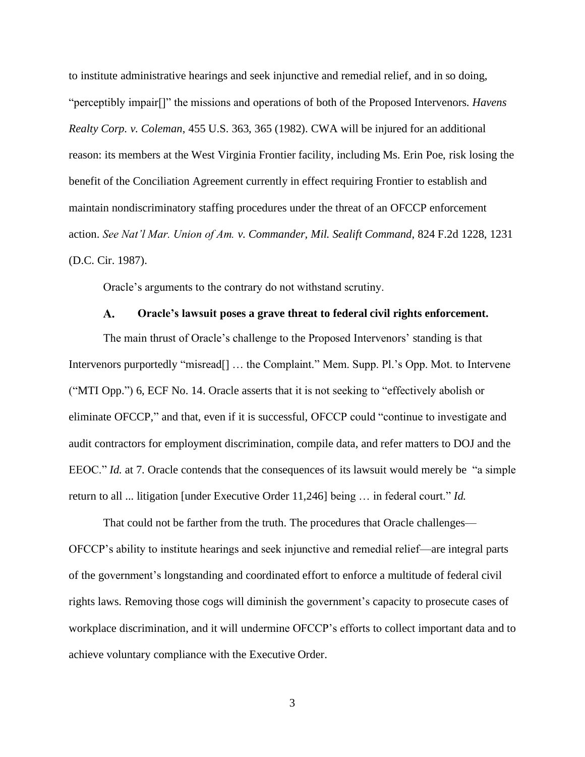<span id="page-9-1"></span>to institute administrative hearings and seek injunctive and remedial relief, and in so doing, "perceptibly impair[]" the missions and operations of both of the Proposed Intervenors. *Havens Realty Corp. v. Coleman*, 455 U.S. 363, 365 (1982). CWA will be injured for an additional reason: its members at the West Virginia Frontier facility, including Ms. Erin Poe, risk losing the benefit of the Conciliation Agreement currently in effect requiring Frontier to establish and maintain nondiscriminatory staffing procedures under the threat of an OFCCP enforcement action. *See Nat'l Mar. Union of Am. v. Commander, Mil. Sealift Command*, 824 F.2d 1228, 1231 (D.C. Cir. 1987).

<span id="page-9-2"></span>Oracle's arguments to the contrary do not withstand scrutiny.

#### $\mathbf{A}$ . **Oracle's lawsuit poses a grave threat to federal civil rights enforcement.**

<span id="page-9-0"></span>The main thrust of Oracle's challenge to the Proposed Intervenors' standing is that Intervenors purportedly "misread<sup>[]</sup> ... the Complaint." Mem. Supp. Pl.'s Opp. Mot. to Intervene ("MTI Opp.") 6, ECF No. 14. Oracle asserts that it is not seeking to "effectively abolish or eliminate OFCCP," and that, even if it is successful, OFCCP could "continue to investigate and audit contractors for employment discrimination, compile data, and refer matters to DOJ and the EEOC." *Id.* at 7. Oracle contends that the consequences of its lawsuit would merely be "a simple return to all ... litigation [under Executive Order 11,246] being … in federal court." *Id.*

That could not be farther from the truth. The procedures that Oracle challenges— OFCCP's ability to institute hearings and seek injunctive and remedial relief—are integral parts of the government's longstanding and coordinated effort to enforce a multitude of federal civil rights laws. Removing those cogs will diminish the government's capacity to prosecute cases of workplace discrimination, and it will undermine OFCCP's efforts to collect important data and to achieve voluntary compliance with the Executive Order.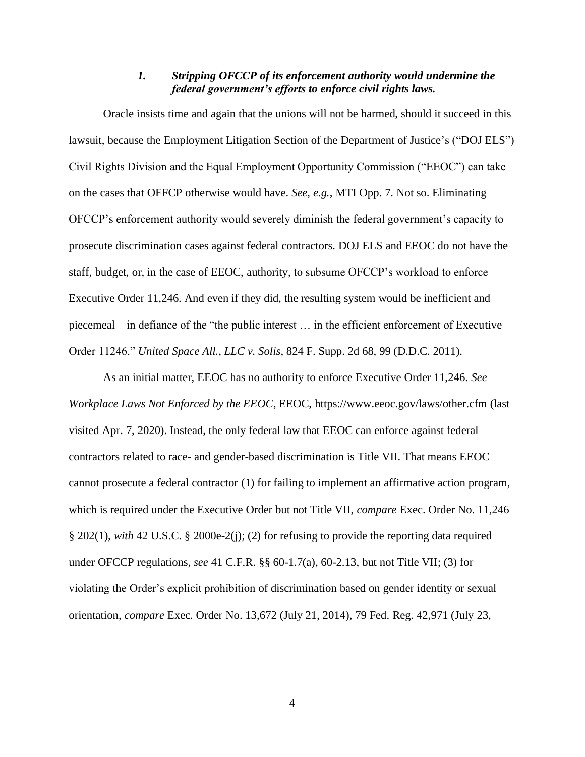# *1. Stripping OFCCP of its enforcement authority would undermine the federal government's efforts to enforce civil rights laws.*

<span id="page-10-0"></span>Oracle insists time and again that the unions will not be harmed, should it succeed in this lawsuit, because the Employment Litigation Section of the Department of Justice's ("DOJ ELS") Civil Rights Division and the Equal Employment Opportunity Commission ("EEOC") can take on the cases that OFFCP otherwise would have. *See, e.g.*, MTI Opp. 7. Not so. Eliminating OFCCP's enforcement authority would severely diminish the federal government's capacity to prosecute discrimination cases against federal contractors. DOJ ELS and EEOC do not have the staff, budget, or, in the case of EEOC, authority, to subsume OFCCP's workload to enforce Executive Order 11,246. And even if they did, the resulting system would be inefficient and piecemeal—in defiance of the "the public interest … in the efficient enforcement of Executive Order 11246." *United Space All., LLC v. Solis*, 824 F. Supp. 2d 68, 99 (D.D.C. 2011).

<span id="page-10-5"></span><span id="page-10-4"></span><span id="page-10-3"></span><span id="page-10-2"></span><span id="page-10-1"></span>As an initial matter, EEOC has no authority to enforce Executive Order 11,246. *See Workplace Laws Not Enforced by the EEOC*, EEOC, https://www.eeoc.gov/laws/other.cfm (last visited Apr. 7, 2020). Instead, the only federal law that EEOC can enforce against federal contractors related to race- and gender-based discrimination is Title VII. That means EEOC cannot prosecute a federal contractor (1) for failing to implement an affirmative action program, which is required under the Executive Order but not Title VII, *compare* Exec. Order No. 11,246 § 202(1), *with* 42 U.S.C. § 2000e-2(j); (2) for refusing to provide the reporting data required under OFCCP regulations, *see* 41 C.F.R. §§ 60-1.7(a), 60-2.13, but not Title VII; (3) for violating the Order's explicit prohibition of discrimination based on gender identity or sexual orientation, *compare* Exec. Order No. 13,672 (July 21, 2014), 79 Fed. Reg. 42,971 (July 23,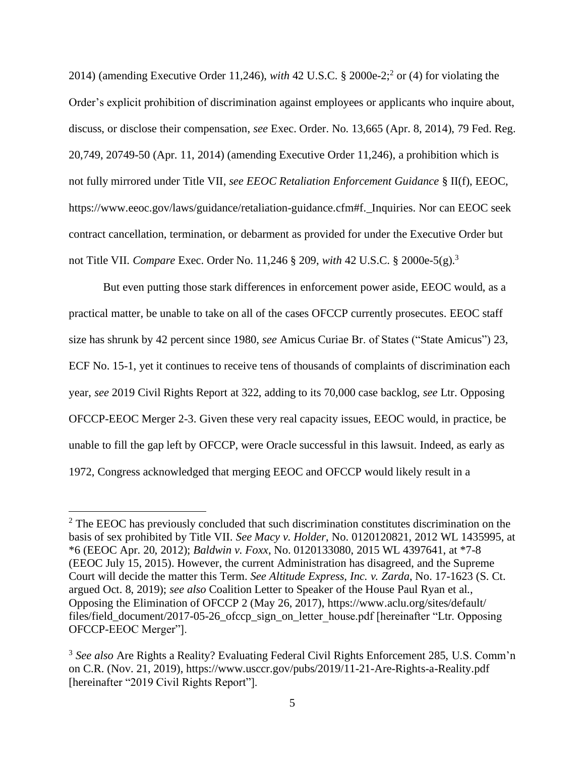<span id="page-11-8"></span><span id="page-11-7"></span><span id="page-11-3"></span>2014) (amending Executive Order 11,246), *with* 42 U.S.C. § 2000e-2; 2 or (4) for violating the Order's explicit prohibition of discrimination against employees or applicants who inquire about, discuss, or disclose their compensation, *see* Exec. Order. No. 13,665 (Apr. 8, 2014), 79 Fed. Reg. 20,749, 20749-50 (Apr. 11, 2014) (amending Executive Order 11,246), a prohibition which is not fully mirrored under Title VII, *see EEOC Retaliation Enforcement Guidance* § II(f), EEOC, https://www.eeoc.gov/laws/guidance/retaliation-guidance.cfm#f.\_Inquiries. Nor can EEOC seek contract cancellation, termination, or debarment as provided for under the Executive Order but not Title VII. *Compare* Exec. Order No. 11,246 § 209, *with* 42 U.S.C. § 2000e-5(g). 3

<span id="page-11-4"></span>But even putting those stark differences in enforcement power aside, EEOC would, as a practical matter, be unable to take on all of the cases OFCCP currently prosecutes. EEOC staff size has shrunk by 42 percent since 1980, *see* Amicus Curiae Br. of States ("State Amicus") 23, ECF No. 15-1, yet it continues to receive tens of thousands of complaints of discrimination each year, *see* 2019 Civil Rights Report at 322, adding to its 70,000 case backlog, *see* Ltr. Opposing OFCCP-EEOC Merger 2-3. Given these very real capacity issues, EEOC would, in practice, be unable to fill the gap left by OFCCP, were Oracle successful in this lawsuit. Indeed, as early as 1972, Congress acknowledged that merging EEOC and OFCCP would likely result in a

<span id="page-11-6"></span><span id="page-11-2"></span><span id="page-11-1"></span><span id="page-11-0"></span> $2^2$  The EEOC has previously concluded that such discrimination constitutes discrimination on the basis of sex prohibited by Title VII. *See Macy v. Holder*, No. 0120120821, 2012 WL 1435995, at \*6 (EEOC Apr. 20, 2012); *Baldwin v. Foxx*, No. 0120133080, 2015 WL 4397641, at \*7-8 (EEOC July 15, 2015). However, the current Administration has disagreed, and the Supreme Court will decide the matter this Term. *See Altitude Express, Inc. v. Zarda*, No. 17-1623 (S. Ct. argued Oct. 8, 2019); *see also* Coalition Letter to Speaker of the House Paul Ryan et al., Opposing the Elimination of OFCCP 2 (May 26, 2017), https://www.aclu.org/sites/default/ files/field\_document/2017-05-26\_ofccp\_sign\_on\_letter\_house.pdf [hereinafter "Ltr. Opposing OFCCP-EEOC Merger"].

<span id="page-11-5"></span><sup>&</sup>lt;sup>3</sup> See also Are Rights a Reality? Evaluating Federal Civil Rights Enforcement 285, U.S. Comm'n on C.R. (Nov. 21, 2019), https://www.usccr.gov/pubs/2019/11-21-Are-Rights-a-Reality.pdf [hereinafter "2019 Civil Rights Report"].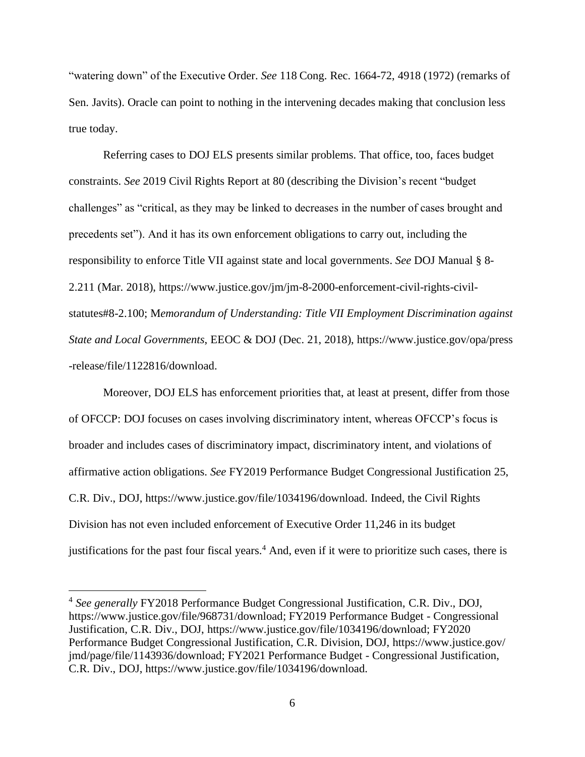<span id="page-12-0"></span>"watering down" of the Executive Order. *See* 118 Cong. Rec. 1664-72, 4918 (1972) (remarks of Sen. Javits). Oracle can point to nothing in the intervening decades making that conclusion less true today.

Referring cases to DOJ ELS presents similar problems. That office, too, faces budget constraints. *See* 2019 Civil Rights Report at 80 (describing the Division's recent "budget challenges" as "critical, as they may be linked to decreases in the number of cases brought and precedents set"). And it has its own enforcement obligations to carry out, including the responsibility to enforce Title VII against state and local governments. *See* DOJ Manual § 8- 2.211 (Mar. 2018), https://www.justice.gov/jm/jm-8-2000-enforcement-civil-rights-civilstatutes#8-2.100; M*emorandum of Understanding: Title VII Employment Discrimination against State and Local Governments*, EEOC & DOJ (Dec. 21, 2018), https://www.justice.gov/opa/press -release/file/1122816/download.

<span id="page-12-6"></span><span id="page-12-3"></span><span id="page-12-1"></span>Moreover, DOJ ELS has enforcement priorities that, at least at present, differ from those of OFCCP: DOJ focuses on cases involving discriminatory intent, whereas OFCCP's focus is broader and includes cases of discriminatory impact, discriminatory intent, and violations of affirmative action obligations. *See* FY2019 Performance Budget Congressional Justification 25, C.R. Div., DOJ, https://www.justice.gov/file/1034196/download. Indeed, the Civil Rights Division has not even included enforcement of Executive Order 11,246 in its budget justifications for the past four fiscal years.<sup>4</sup> And, even if it were to prioritize such cases, there is

<span id="page-12-5"></span><span id="page-12-4"></span><span id="page-12-2"></span><sup>4</sup> *See generally* FY2018 Performance Budget Congressional Justification, C.R. Div., DOJ, https://www.justice.gov/file/968731/download; FY2019 Performance Budget - Congressional Justification, C.R. Div., DOJ, https://www.justice.gov/file/1034196/download; FY2020 Performance Budget Congressional Justification, C.R. Division, DOJ, https://www.justice.gov/ jmd/page/file/1143936/download; FY2021 Performance Budget - Congressional Justification, C.R. Div., DOJ, https://www.justice.gov/file/1034196/download.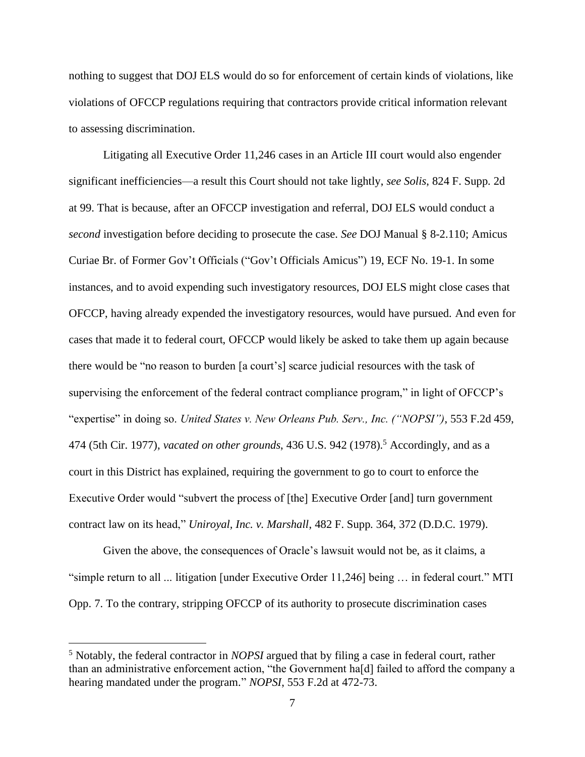nothing to suggest that DOJ ELS would do so for enforcement of certain kinds of violations, like violations of OFCCP regulations requiring that contractors provide critical information relevant to assessing discrimination.

<span id="page-13-1"></span>Litigating all Executive Order 11,246 cases in an Article III court would also engender significant inefficiencies—a result this Court should not take lightly, *see Solis*, 824 F. Supp. 2d at 99. That is because, after an OFCCP investigation and referral, DOJ ELS would conduct a *second* investigation before deciding to prosecute the case. *See* DOJ Manual § 8-2.110; Amicus Curiae Br. of Former Gov't Officials ("Gov't Officials Amicus") 19, ECF No. 19-1. In some instances, and to avoid expending such investigatory resources, DOJ ELS might close cases that OFCCP, having already expended the investigatory resources, would have pursued. And even for cases that made it to federal court, OFCCP would likely be asked to take them up again because there would be "no reason to burden [a court's] scarce judicial resources with the task of supervising the enforcement of the federal contract compliance program," in light of OFCCP's "expertise" in doing so. *United States v. New Orleans Pub. Serv., Inc. ("NOPSI")*, 553 F.2d 459, 474 (5th Cir. 1977), *vacated on other grounds*, 436 U.S. 942 (1978).<sup>5</sup> Accordingly, and as a court in this District has explained, requiring the government to go to court to enforce the Executive Order would "subvert the process of [the] Executive Order [and] turn government contract law on its head," *Uniroyal, Inc. v. Marshall*, 482 F. Supp. 364, 372 (D.D.C. 1979).

<span id="page-13-2"></span><span id="page-13-0"></span>Given the above, the consequences of Oracle's lawsuit would not be, as it claims, a "simple return to all ... litigation [under Executive Order 11,246] being … in federal court." MTI Opp. 7. To the contrary, stripping OFCCP of its authority to prosecute discrimination cases

<sup>5</sup> Notably, the federal contractor in *NOPSI* argued that by filing a case in federal court, rather than an administrative enforcement action, "the Government ha[d] failed to afford the company a hearing mandated under the program." *NOPSI*, 553 F.2d at 472-73.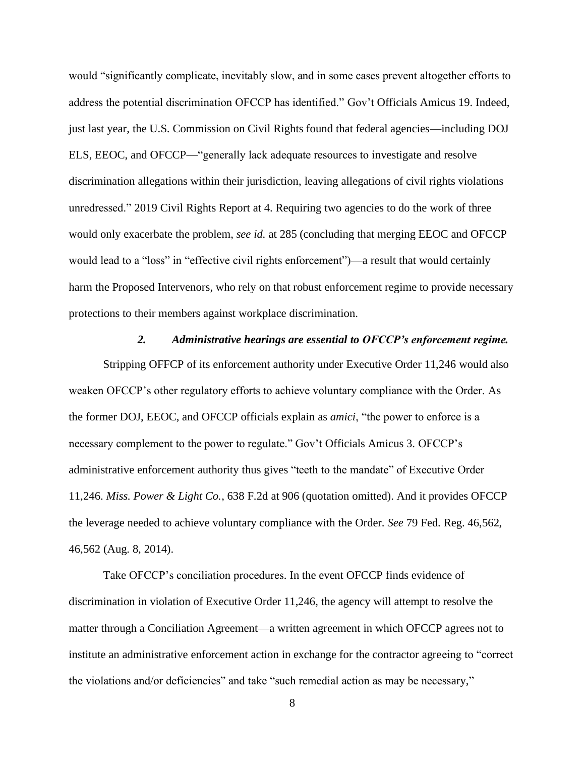would "significantly complicate, inevitably slow, and in some cases prevent altogether efforts to address the potential discrimination OFCCP has identified." Gov't Officials Amicus 19. Indeed, just last year, the U.S. Commission on Civil Rights found that federal agencies—including DOJ ELS, EEOC, and OFCCP—"generally lack adequate resources to investigate and resolve discrimination allegations within their jurisdiction, leaving allegations of civil rights violations unredressed." 2019 Civil Rights Report at 4. Requiring two agencies to do the work of three would only exacerbate the problem, *see id.* at 285 (concluding that merging EEOC and OFCCP would lead to a "loss" in "effective civil rights enforcement")—a result that would certainly harm the Proposed Intervenors, who rely on that robust enforcement regime to provide necessary protections to their members against workplace discrimination.

### <span id="page-14-2"></span>*2. Administrative hearings are essential to OFCCP's enforcement regime.*

<span id="page-14-0"></span>Stripping OFFCP of its enforcement authority under Executive Order 11,246 would also weaken OFCCP's other regulatory efforts to achieve voluntary compliance with the Order. As the former DOJ, EEOC, and OFCCP officials explain as *amici*, "the power to enforce is a necessary complement to the power to regulate." Gov't Officials Amicus 3. OFCCP's administrative enforcement authority thus gives "teeth to the mandate" of Executive Order 11,246. *Miss. Power & Light Co.*, 638 F.2d at 906 (quotation omitted). And it provides OFCCP the leverage needed to achieve voluntary compliance with the Order. *See* 79 Fed. Reg. 46,562, 46,562 (Aug. 8, 2014).

<span id="page-14-1"></span>Take OFCCP's conciliation procedures. In the event OFCCP finds evidence of discrimination in violation of Executive Order 11,246, the agency will attempt to resolve the matter through a Conciliation Agreement—a written agreement in which OFCCP agrees not to institute an administrative enforcement action in exchange for the contractor agreeing to "correct the violations and/or deficiencies" and take "such remedial action as may be necessary,"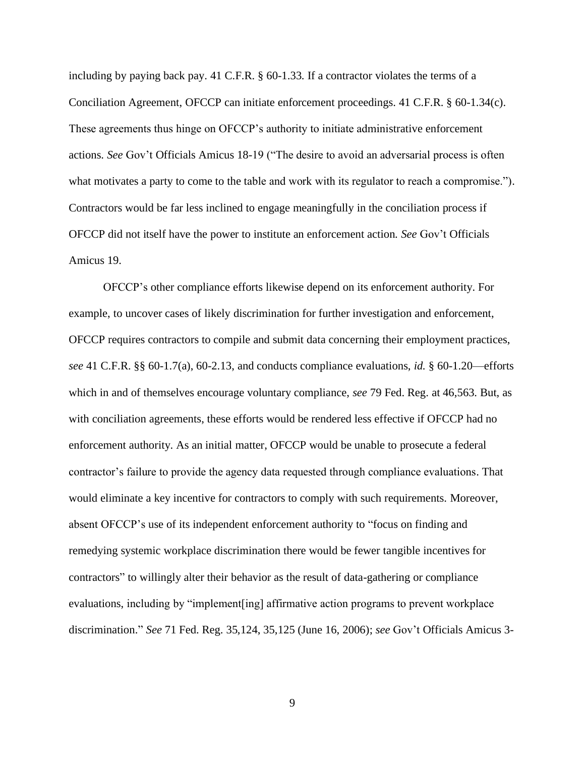<span id="page-15-2"></span><span id="page-15-1"></span>including by paying back pay. 41 C.F.R. § 60-1.33. If a contractor violates the terms of a Conciliation Agreement, OFCCP can initiate enforcement proceedings. 41 C.F.R. § 60-1.34(c). These agreements thus hinge on OFCCP's authority to initiate administrative enforcement actions. *See* Gov't Officials Amicus 18-19 ("The desire to avoid an adversarial process is often what motivates a party to come to the table and work with its regulator to reach a compromise."). Contractors would be far less inclined to engage meaningfully in the conciliation process if OFCCP did not itself have the power to institute an enforcement action. *See* Gov't Officials Amicus 19.

<span id="page-15-4"></span><span id="page-15-3"></span><span id="page-15-0"></span>OFCCP's other compliance efforts likewise depend on its enforcement authority. For example, to uncover cases of likely discrimination for further investigation and enforcement, OFCCP requires contractors to compile and submit data concerning their employment practices, *see* 41 C.F.R. §§ 60-1.7(a), 60-2.13, and conducts compliance evaluations, *id.* § 60-1.20—efforts which in and of themselves encourage voluntary compliance, *see* 79 Fed. Reg. at 46,563. But, as with conciliation agreements, these efforts would be rendered less effective if OFCCP had no enforcement authority. As an initial matter, OFCCP would be unable to prosecute a federal contractor's failure to provide the agency data requested through compliance evaluations. That would eliminate a key incentive for contractors to comply with such requirements. Moreover, absent OFCCP's use of its independent enforcement authority to "focus on finding and remedying systemic workplace discrimination there would be fewer tangible incentives for contractors" to willingly alter their behavior as the result of data-gathering or compliance evaluations, including by "implement[ing] affirmative action programs to prevent workplace discrimination." *See* 71 Fed. Reg. 35,124, 35,125 (June 16, 2006); *see* Gov't Officials Amicus 3-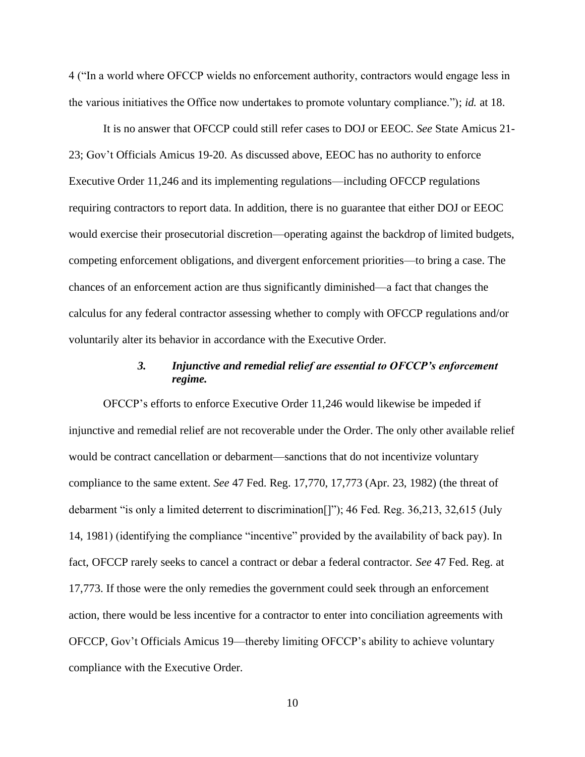4 ("In a world where OFCCP wields no enforcement authority, contractors would engage less in the various initiatives the Office now undertakes to promote voluntary compliance."); *id.* at 18.

It is no answer that OFCCP could still refer cases to DOJ or EEOC. *See* State Amicus 21- 23; Gov't Officials Amicus 19-20. As discussed above, EEOC has no authority to enforce Executive Order 11,246 and its implementing regulations—including OFCCP regulations requiring contractors to report data. In addition, there is no guarantee that either DOJ or EEOC would exercise their prosecutorial discretion—operating against the backdrop of limited budgets, competing enforcement obligations, and divergent enforcement priorities—to bring a case. The chances of an enforcement action are thus significantly diminished—a fact that changes the calculus for any federal contractor assessing whether to comply with OFCCP regulations and/or voluntarily alter its behavior in accordance with the Executive Order.

# <span id="page-16-2"></span><span id="page-16-1"></span>*3. Injunctive and remedial relief are essential to OFCCP's enforcement regime.*

<span id="page-16-0"></span>OFCCP's efforts to enforce Executive Order 11,246 would likewise be impeded if injunctive and remedial relief are not recoverable under the Order. The only other available relief would be contract cancellation or debarment—sanctions that do not incentivize voluntary compliance to the same extent. *See* 47 Fed. Reg. 17,770, 17,773 (Apr. 23, 1982) (the threat of debarment "is only a limited deterrent to discrimination[]"); 46 Fed. Reg. 36,213, 32,615 (July 14, 1981) (identifying the compliance "incentive" provided by the availability of back pay). In fact, OFCCP rarely seeks to cancel a contract or debar a federal contractor. *See* 47 Fed. Reg. at 17,773. If those were the only remedies the government could seek through an enforcement action, there would be less incentive for a contractor to enter into conciliation agreements with OFCCP, Gov't Officials Amicus 19—thereby limiting OFCCP's ability to achieve voluntary compliance with the Executive Order.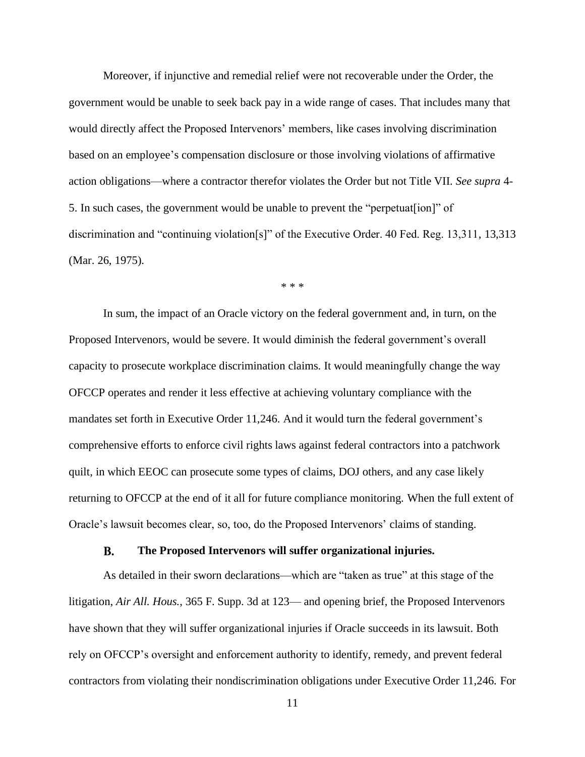Moreover, if injunctive and remedial relief were not recoverable under the Order, the government would be unable to seek back pay in a wide range of cases. That includes many that would directly affect the Proposed Intervenors' members, like cases involving discrimination based on an employee's compensation disclosure or those involving violations of affirmative action obligations—where a contractor therefor violates the Order but not Title VII. *See supra* 4- 5. In such cases, the government would be unable to prevent the "perpetuat[ion]" of discrimination and "continuing violation[s]" of the Executive Order. 40 Fed. Reg. 13,311, 13,313 (Mar. 26, 1975).

<span id="page-17-2"></span>\* \* \*

In sum, the impact of an Oracle victory on the federal government and, in turn, on the Proposed Intervenors, would be severe. It would diminish the federal government's overall capacity to prosecute workplace discrimination claims. It would meaningfully change the way OFCCP operates and render it less effective at achieving voluntary compliance with the mandates set forth in Executive Order 11,246. And it would turn the federal government's comprehensive efforts to enforce civil rights laws against federal contractors into a patchwork quilt, in which EEOC can prosecute some types of claims, DOJ others, and any case likely returning to OFCCP at the end of it all for future compliance monitoring. When the full extent of Oracle's lawsuit becomes clear, so, too, do the Proposed Intervenors' claims of standing.

#### <span id="page-17-1"></span>**B. The Proposed Intervenors will suffer organizational injuries.**

<span id="page-17-0"></span>As detailed in their sworn declarations—which are "taken as true" at this stage of the litigation, *Air All. Hous.*, 365 F. Supp. 3d at 123— and opening brief, the Proposed Intervenors have shown that they will suffer organizational injuries if Oracle succeeds in its lawsuit. Both rely on OFCCP's oversight and enforcement authority to identify, remedy, and prevent federal contractors from violating their nondiscrimination obligations under Executive Order 11,246. For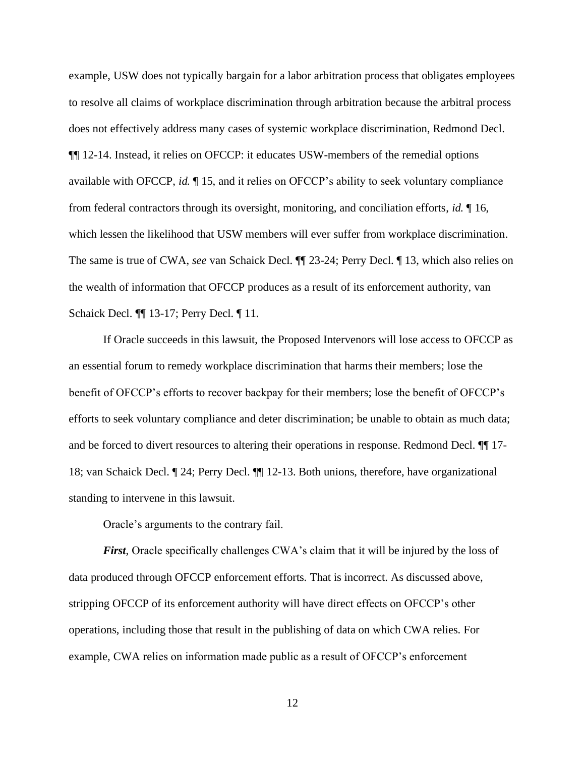example, USW does not typically bargain for a labor arbitration process that obligates employees to resolve all claims of workplace discrimination through arbitration because the arbitral process does not effectively address many cases of systemic workplace discrimination, Redmond Decl. ¶¶ 12-14. Instead, it relies on OFCCP: it educates USW-members of the remedial options available with OFCCP, *id.* ¶ 15, and it relies on OFCCP's ability to seek voluntary compliance from federal contractors through its oversight, monitoring, and conciliation efforts, *id.* ¶ 16, which lessen the likelihood that USW members will ever suffer from workplace discrimination. The same is true of CWA, *see* van Schaick Decl. ¶¶ 23-24; Perry Decl. ¶ 13, which also relies on the wealth of information that OFCCP produces as a result of its enforcement authority, van Schaick Decl. ¶¶ 13-17; Perry Decl. ¶ 11.

If Oracle succeeds in this lawsuit, the Proposed Intervenors will lose access to OFCCP as an essential forum to remedy workplace discrimination that harms their members; lose the benefit of OFCCP's efforts to recover backpay for their members; lose the benefit of OFCCP's efforts to seek voluntary compliance and deter discrimination; be unable to obtain as much data; and be forced to divert resources to altering their operations in response. Redmond Decl. ¶¶ 17- 18; van Schaick Decl. ¶ 24; Perry Decl. ¶¶ 12-13. Both unions, therefore, have organizational standing to intervene in this lawsuit.

Oracle's arguments to the contrary fail.

*First*, Oracle specifically challenges CWA's claim that it will be injured by the loss of data produced through OFCCP enforcement efforts. That is incorrect. As discussed above, stripping OFCCP of its enforcement authority will have direct effects on OFCCP's other operations, including those that result in the publishing of data on which CWA relies. For example, CWA relies on information made public as a result of OFCCP's enforcement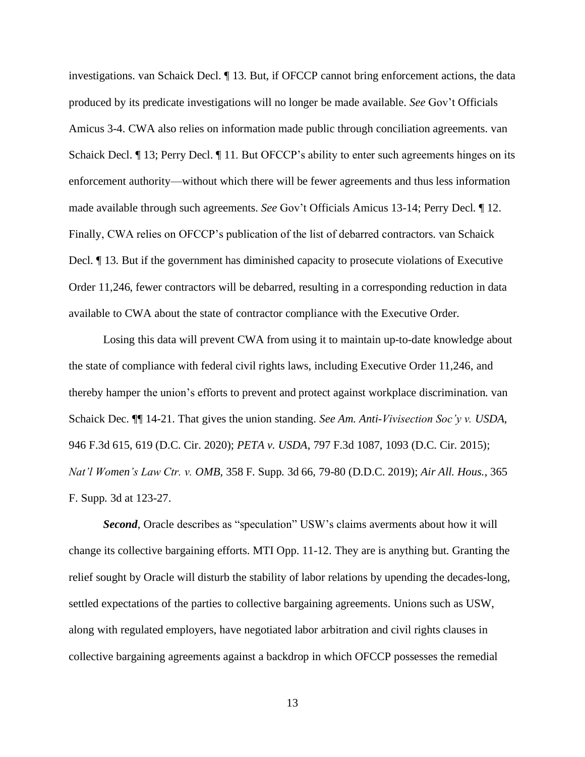investigations. van Schaick Decl. ¶ 13. But, if OFCCP cannot bring enforcement actions, the data produced by its predicate investigations will no longer be made available. *See* Gov't Officials Amicus 3-4. CWA also relies on information made public through conciliation agreements. van Schaick Decl. ¶ 13; Perry Decl. ¶ 11. But OFCCP's ability to enter such agreements hinges on its enforcement authority—without which there will be fewer agreements and thus less information made available through such agreements. *See* Gov't Officials Amicus 13-14; Perry Decl. ¶ 12. Finally, CWA relies on OFCCP's publication of the list of debarred contractors. van Schaick Decl. ¶ 13. But if the government has diminished capacity to prosecute violations of Executive Order 11,246, fewer contractors will be debarred, resulting in a corresponding reduction in data available to CWA about the state of contractor compliance with the Executive Order.

<span id="page-19-1"></span>Losing this data will prevent CWA from using it to maintain up-to-date knowledge about the state of compliance with federal civil rights laws, including Executive Order 11,246, and thereby hamper the union's efforts to prevent and protect against workplace discrimination. van Schaick Dec. ¶¶ 14-21. That gives the union standing. *See Am. Anti-Vivisection Soc'y v. USDA*, 946 F.3d 615, 619 (D.C. Cir. 2020); *PETA v. USDA*, 797 F.3d 1087, 1093 (D.C. Cir. 2015); *Nat'l Women's Law Ctr. v. OMB*, 358 F. Supp. 3d 66, 79-80 (D.D.C. 2019); *Air All. Hous.*, 365 F. Supp. 3d at 123-27.

<span id="page-19-3"></span><span id="page-19-2"></span><span id="page-19-0"></span>*Second*, Oracle describes as "speculation" USW's claims averments about how it will change its collective bargaining efforts. MTI Opp. 11-12. They are is anything but. Granting the relief sought by Oracle will disturb the stability of labor relations by upending the decades-long, settled expectations of the parties to collective bargaining agreements. Unions such as USW, along with regulated employers, have negotiated labor arbitration and civil rights clauses in collective bargaining agreements against a backdrop in which OFCCP possesses the remedial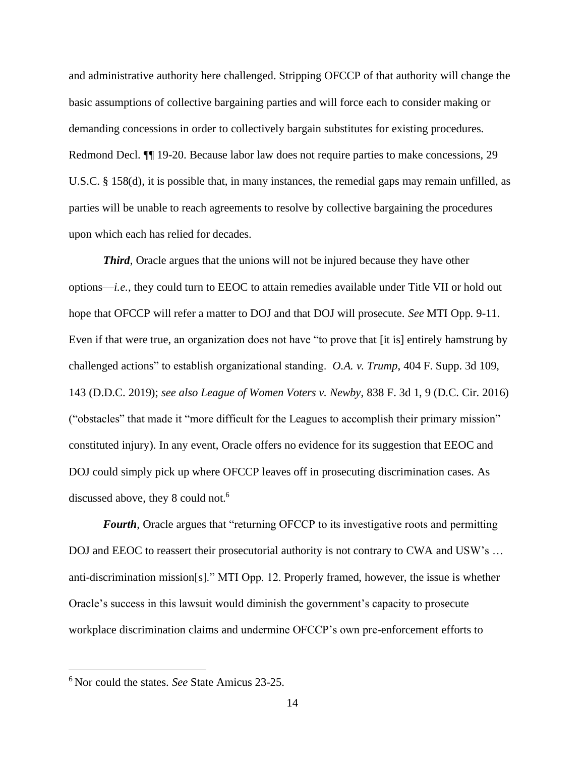<span id="page-20-2"></span>and administrative authority here challenged. Stripping OFCCP of that authority will change the basic assumptions of collective bargaining parties and will force each to consider making or demanding concessions in order to collectively bargain substitutes for existing procedures. Redmond Decl. ¶¶ 19-20. Because labor law does not require parties to make concessions, 29 U.S.C. § 158(d), it is possible that, in many instances, the remedial gaps may remain unfilled, as parties will be unable to reach agreements to resolve by collective bargaining the procedures upon which each has relied for decades.

<span id="page-20-1"></span><span id="page-20-0"></span>*Third*, Oracle argues that the unions will not be injured because they have other options—*i.e.*, they could turn to EEOC to attain remedies available under Title VII or hold out hope that OFCCP will refer a matter to DOJ and that DOJ will prosecute. *See* MTI Opp. 9-11. Even if that were true, an organization does not have "to prove that [it is] entirely hamstrung by challenged actions" to establish organizational standing. *O.A. v. Trump*, 404 F. Supp. 3d 109, 143 (D.D.C. 2019); *see also League of Women Voters v. Newby*, 838 F. 3d 1, 9 (D.C. Cir. 2016) ("obstacles" that made it "more difficult for the Leagues to accomplish their primary mission" constituted injury). In any event, Oracle offers no evidence for its suggestion that EEOC and DOJ could simply pick up where OFCCP leaves off in prosecuting discrimination cases. As discussed above, they 8 could not.<sup>6</sup>

*Fourth*, Oracle argues that "returning OFCCP to its investigative roots and permitting DOJ and EEOC to reassert their prosecutorial authority is not contrary to CWA and USW's ... anti-discrimination mission[s]." MTI Opp. 12. Properly framed, however, the issue is whether Oracle's success in this lawsuit would diminish the government's capacity to prosecute workplace discrimination claims and undermine OFCCP's own pre-enforcement efforts to

<sup>6</sup> Nor could the states. *See* State Amicus 23-25.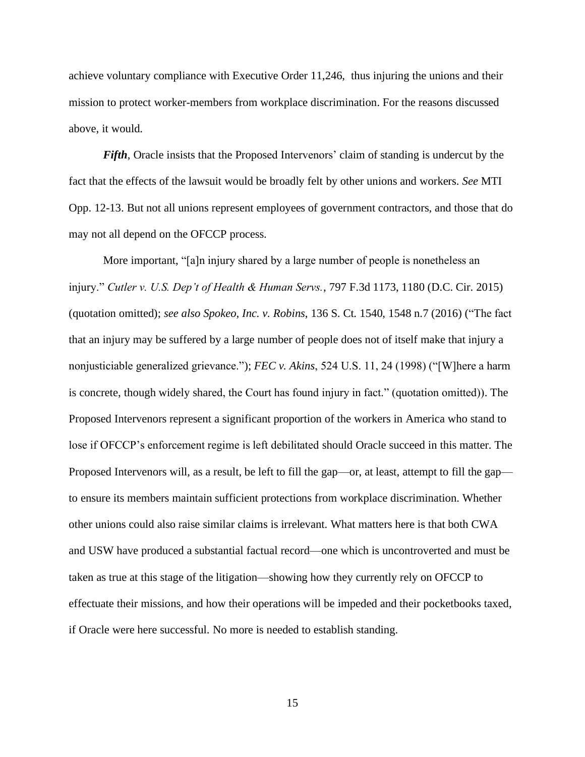achieve voluntary compliance with Executive Order 11,246, thus injuring the unions and their mission to protect worker-members from workplace discrimination. For the reasons discussed above, it would.

*Fifth*, Oracle insists that the Proposed Intervenors' claim of standing is undercut by the fact that the effects of the lawsuit would be broadly felt by other unions and workers. *See* MTI Opp. 12-13. But not all unions represent employees of government contractors, and those that do may not all depend on the OFCCP process.

<span id="page-21-2"></span><span id="page-21-1"></span><span id="page-21-0"></span>More important, "[a]n injury shared by a large number of people is nonetheless an injury." *Cutler v. U.S. Dep't of Health & Human Servs.*, 797 F.3d 1173, 1180 (D.C. Cir. 2015) (quotation omitted); *see also Spokeo, Inc. v. Robins*, 136 S. Ct. 1540, 1548 n.7 (2016) ("The fact that an injury may be suffered by a large number of people does not of itself make that injury a nonjusticiable generalized grievance."); *FEC v. Akins*, 524 U.S. 11, 24 (1998) ("[W]here a harm is concrete, though widely shared, the Court has found injury in fact." (quotation omitted)). The Proposed Intervenors represent a significant proportion of the workers in America who stand to lose if OFCCP's enforcement regime is left debilitated should Oracle succeed in this matter. The Proposed Intervenors will, as a result, be left to fill the gap—or, at least, attempt to fill the gap to ensure its members maintain sufficient protections from workplace discrimination. Whether other unions could also raise similar claims is irrelevant. What matters here is that both CWA and USW have produced a substantial factual record—one which is uncontroverted and must be taken as true at this stage of the litigation—showing how they currently rely on OFCCP to effectuate their missions, and how their operations will be impeded and their pocketbooks taxed, if Oracle were here successful. No more is needed to establish standing.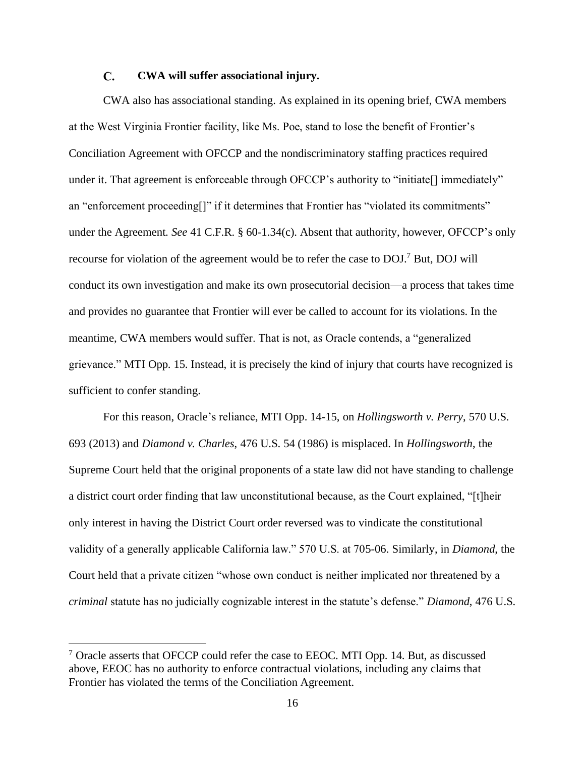#### <span id="page-22-3"></span> $\mathbf{C}$ . **CWA will suffer associational injury.**

<span id="page-22-0"></span>CWA also has associational standing. As explained in its opening brief, CWA members at the West Virginia Frontier facility, like Ms. Poe, stand to lose the benefit of Frontier's Conciliation Agreement with OFCCP and the nondiscriminatory staffing practices required under it. That agreement is enforceable through OFCCP's authority to "initiate" immediately" an "enforcement proceeding[]" if it determines that Frontier has "violated its commitments" under the Agreement. *See* 41 C.F.R. § 60-1.34(c). Absent that authority, however, OFCCP's only recourse for violation of the agreement would be to refer the case to DOJ.<sup>7</sup> But, DOJ will conduct its own investigation and make its own prosecutorial decision—a process that takes time and provides no guarantee that Frontier will ever be called to account for its violations. In the meantime, CWA members would suffer. That is not, as Oracle contends, a "generalized grievance." MTI Opp. 15. Instead, it is precisely the kind of injury that courts have recognized is sufficient to confer standing.

<span id="page-22-2"></span><span id="page-22-1"></span>For this reason, Oracle's reliance, MTI Opp. 14-15, on *Hollingsworth v. Perry*, 570 U.S. 693 (2013) and *Diamond v. Charles*, 476 U.S. 54 (1986) is misplaced. In *Hollingsworth*, the Supreme Court held that the original proponents of a state law did not have standing to challenge a district court order finding that law unconstitutional because, as the Court explained, "[t]heir only interest in having the District Court order reversed was to vindicate the constitutional validity of a generally applicable California law." 570 U.S. at 705-06. Similarly, in *Diamond*, the Court held that a private citizen "whose own conduct is neither implicated nor threatened by a *criminal* statute has no judicially cognizable interest in the statute's defense." *Diamond*, 476 U.S.

 $7$  Oracle asserts that OFCCP could refer the case to EEOC. MTI Opp. 14. But, as discussed above, EEOC has no authority to enforce contractual violations, including any claims that Frontier has violated the terms of the Conciliation Agreement.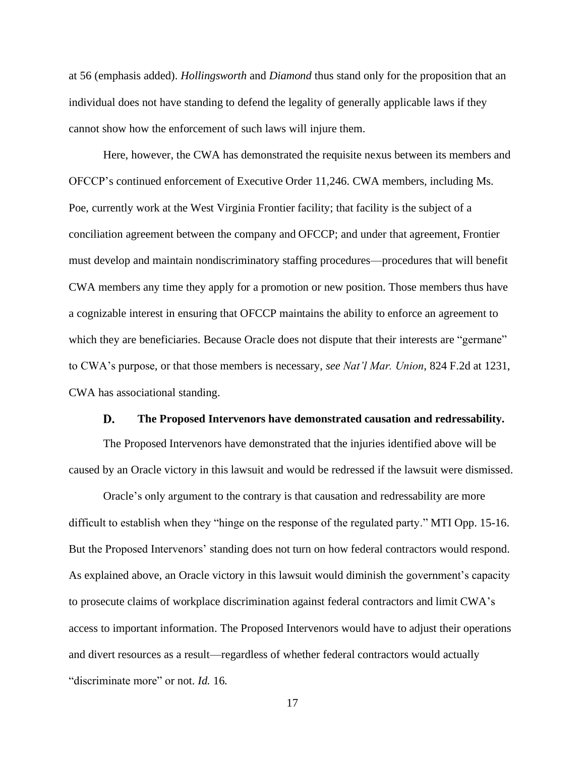at 56 (emphasis added). *Hollingsworth* and *Diamond* thus stand only for the proposition that an individual does not have standing to defend the legality of generally applicable laws if they cannot show how the enforcement of such laws will injure them.

Here, however, the CWA has demonstrated the requisite nexus between its members and OFCCP's continued enforcement of Executive Order 11,246. CWA members, including Ms. Poe, currently work at the West Virginia Frontier facility; that facility is the subject of a conciliation agreement between the company and OFCCP; and under that agreement, Frontier must develop and maintain nondiscriminatory staffing procedures—procedures that will benefit CWA members any time they apply for a promotion or new position. Those members thus have a cognizable interest in ensuring that OFCCP maintains the ability to enforce an agreement to which they are beneficiaries. Because Oracle does not dispute that their interests are "germane" to CWA's purpose, or that those members is necessary, *see Nat'l Mar. Union*, 824 F.2d at 1231, CWA has associational standing.

#### <span id="page-23-1"></span>D. **The Proposed Intervenors have demonstrated causation and redressability.**

<span id="page-23-0"></span>The Proposed Intervenors have demonstrated that the injuries identified above will be caused by an Oracle victory in this lawsuit and would be redressed if the lawsuit were dismissed.

Oracle's only argument to the contrary is that causation and redressability are more difficult to establish when they "hinge on the response of the regulated party." MTI Opp. 15-16. But the Proposed Intervenors' standing does not turn on how federal contractors would respond. As explained above, an Oracle victory in this lawsuit would diminish the government's capacity to prosecute claims of workplace discrimination against federal contractors and limit CWA's access to important information. The Proposed Intervenors would have to adjust their operations and divert resources as a result—regardless of whether federal contractors would actually "discriminate more" or not. *Id.* 16.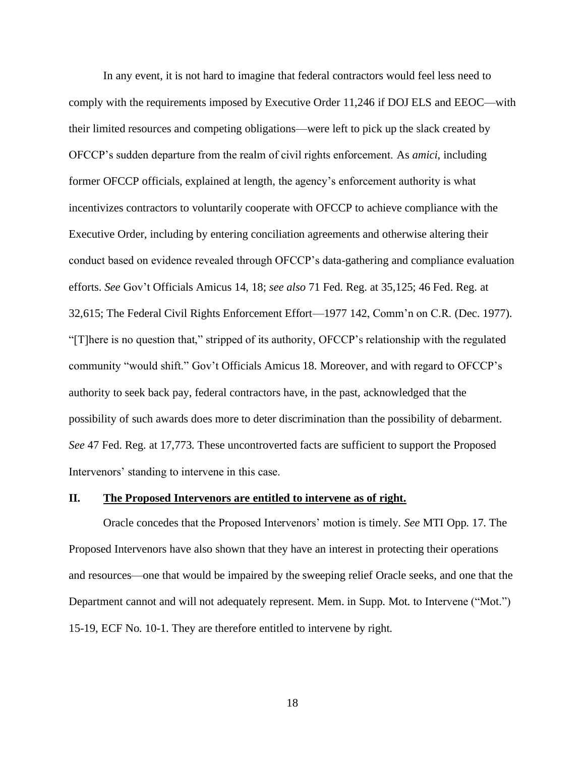In any event, it is not hard to imagine that federal contractors would feel less need to comply with the requirements imposed by Executive Order 11,246 if DOJ ELS and EEOC—with their limited resources and competing obligations—were left to pick up the slack created by OFCCP's sudden departure from the realm of civil rights enforcement. As *amici*, including former OFCCP officials, explained at length, the agency's enforcement authority is what incentivizes contractors to voluntarily cooperate with OFCCP to achieve compliance with the Executive Order, including by entering conciliation agreements and otherwise altering their conduct based on evidence revealed through OFCCP's data-gathering and compliance evaluation efforts. *See* Gov't Officials Amicus 14, 18; *see also* 71 Fed. Reg. at 35,125; 46 Fed. Reg. at 32,615; The Federal Civil Rights Enforcement Effort—1977 142, Comm'n on C.R. (Dec. 1977). "[T]here is no question that," stripped of its authority, OFCCP's relationship with the regulated community "would shift." Gov't Officials Amicus 18. Moreover, and with regard to OFCCP's authority to seek back pay, federal contractors have, in the past, acknowledged that the possibility of such awards does more to deter discrimination than the possibility of debarment. *See* 47 Fed. Reg. at 17,773. These uncontroverted facts are sufficient to support the Proposed Intervenors' standing to intervene in this case.

### <span id="page-24-0"></span>**II. The Proposed Intervenors are entitled to intervene as of right.**

Oracle concedes that the Proposed Intervenors' motion is timely. *See* MTI Opp. 17. The Proposed Intervenors have also shown that they have an interest in protecting their operations and resources—one that would be impaired by the sweeping relief Oracle seeks, and one that the Department cannot and will not adequately represent. Mem. in Supp. Mot. to Intervene ("Mot.") 15-19, ECF No. 10-1. They are therefore entitled to intervene by right.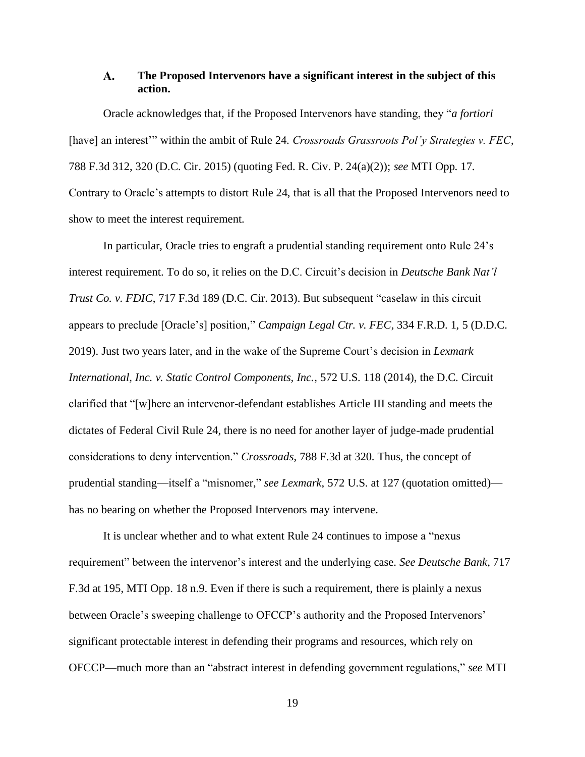#### <span id="page-25-2"></span><span id="page-25-0"></span> $\mathbf{A}$ . **The Proposed Intervenors have a significant interest in the subject of this action.**

Oracle acknowledges that, if the Proposed Intervenors have standing, they "*a fortiori*  [have] an interest'" within the ambit of Rule 24. *Crossroads Grassroots Pol'y Strategies v. FEC*, 788 F.3d 312, 320 (D.C. Cir. 2015) (quoting Fed. R. Civ. P. 24(a)(2)); *see* MTI Opp. 17. Contrary to Oracle's attempts to distort Rule 24, that is all that the Proposed Intervenors need to show to meet the interest requirement.

<span id="page-25-5"></span><span id="page-25-4"></span><span id="page-25-1"></span>In particular, Oracle tries to engraft a prudential standing requirement onto Rule 24's interest requirement. To do so, it relies on the D.C. Circuit's decision in *Deutsche Bank Nat'l Trust Co. v. FDIC*, 717 F.3d 189 (D.C. Cir. 2013). But subsequent "caselaw in this circuit appears to preclude [Oracle's] position," *Campaign Legal Ctr. v. FEC*, 334 F.R.D. 1, 5 (D.D.C. 2019). Just two years later, and in the wake of the Supreme Court's decision in *Lexmark International, Inc. v. Static Control Components, Inc.*, 572 U.S. 118 (2014), the D.C. Circuit clarified that "[w]here an intervenor-defendant establishes Article III standing and meets the dictates of Federal Civil Rule 24, there is no need for another layer of judge-made prudential considerations to deny intervention." *Crossroads*, 788 F.3d at 320. Thus, the concept of prudential standing—itself a "misnomer," *see Lexmark*, 572 U.S. at 127 (quotation omitted) has no bearing on whether the Proposed Intervenors may intervene.

<span id="page-25-3"></span>It is unclear whether and to what extent Rule 24 continues to impose a "nexus requirement" between the intervenor's interest and the underlying case. *See Deutsche Bank*, 717 F.3d at 195, MTI Opp. 18 n.9. Even if there is such a requirement, there is plainly a nexus between Oracle's sweeping challenge to OFCCP's authority and the Proposed Intervenors' significant protectable interest in defending their programs and resources, which rely on OFCCP—much more than an "abstract interest in defending government regulations," *see* MTI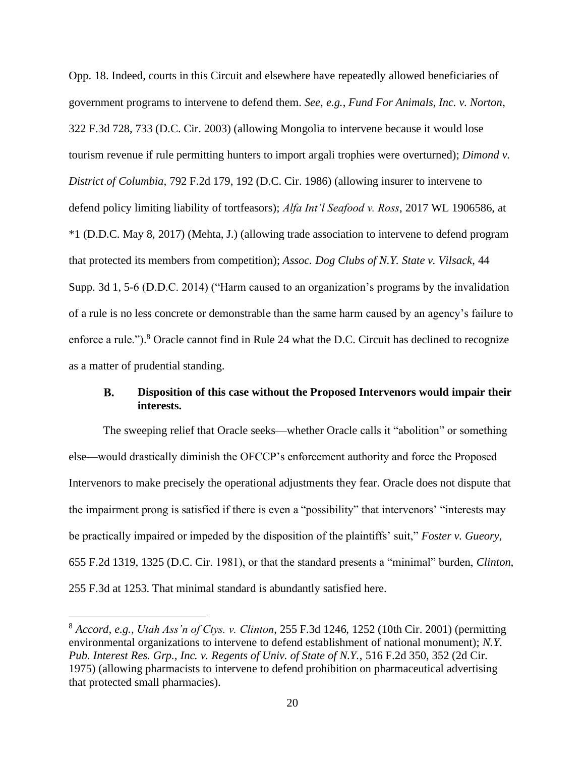<span id="page-26-2"></span><span id="page-26-1"></span>Opp. 18. Indeed, courts in this Circuit and elsewhere have repeatedly allowed beneficiaries of government programs to intervene to defend them. *See, e.g.*, *Fund For Animals, Inc. v. Norton*, 322 F.3d 728, 733 (D.C. Cir. 2003) (allowing Mongolia to intervene because it would lose tourism revenue if rule permitting hunters to import argali trophies were overturned); *Dimond v. District of Columbia*, 792 F.2d 179, 192 (D.C. Cir. 1986) (allowing insurer to intervene to defend policy limiting liability of tortfeasors); *Alfa Int'l Seafood v. Ross*, 2017 WL 1906586, at \*1 (D.D.C. May 8, 2017) (Mehta, J.) (allowing trade association to intervene to defend program that protected its members from competition); *Assoc. Dog Clubs of N.Y. State v. Vilsack*, 44 Supp. 3d 1, 5-6 (D.D.C. 2014) ("Harm caused to an organization's programs by the invalidation of a rule is no less concrete or demonstrable than the same harm caused by an agency's failure to enforce a rule.").<sup>8</sup> Oracle cannot find in Rule 24 what the D.C. Circuit has declined to recognize as a matter of prudential standing.

#### <span id="page-26-3"></span><span id="page-26-0"></span>**B. Disposition of this case without the Proposed Intervenors would impair their interests.**

The sweeping relief that Oracle seeks—whether Oracle calls it "abolition" or something else—would drastically diminish the OFCCP's enforcement authority and force the Proposed Intervenors to make precisely the operational adjustments they fear. Oracle does not dispute that the impairment prong is satisfied if there is even a "possibility" that intervenors' "interests may be practically impaired or impeded by the disposition of the plaintiffs' suit," *Foster v. Gueory*, 655 F.2d 1319, 1325 (D.C. Cir. 1981), or that the standard presents a "minimal" burden, *Clinton*, 255 F.3d at 1253. That minimal standard is abundantly satisfied here.

<span id="page-26-5"></span><span id="page-26-4"></span><sup>8</sup> *Accord, e.g., Utah Ass'n of Ctys. v. Clinton*, 255 F.3d 1246, 1252 (10th Cir. 2001) (permitting environmental organizations to intervene to defend establishment of national monument); *N.Y. Pub. Interest Res. Grp., Inc. v. Regents of Univ. of State of N.Y.*, 516 F.2d 350, 352 (2d Cir. 1975) (allowing pharmacists to intervene to defend prohibition on pharmaceutical advertising that protected small pharmacies).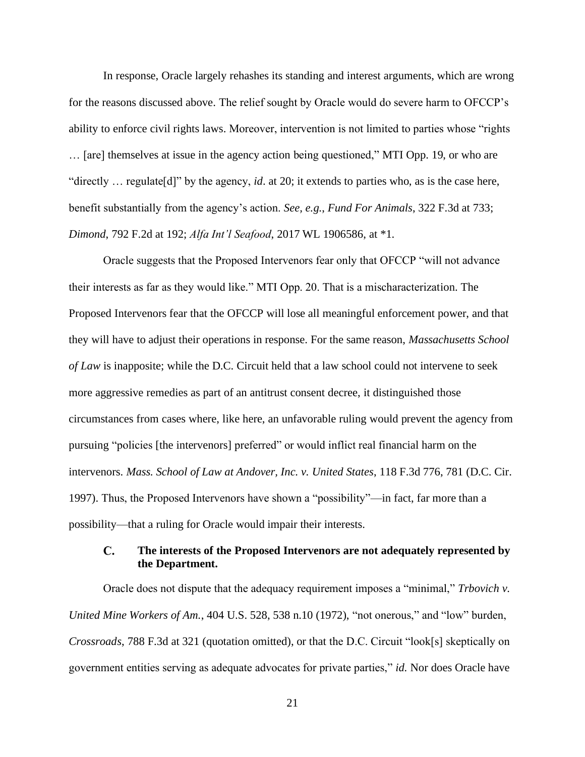In response, Oracle largely rehashes its standing and interest arguments, which are wrong for the reasons discussed above. The relief sought by Oracle would do severe harm to OFCCP's ability to enforce civil rights laws. Moreover, intervention is not limited to parties whose "rights … [are] themselves at issue in the agency action being questioned," MTI Opp. 19, or who are "directly … regulate[d]" by the agency, *id*. at 20; it extends to parties who, as is the case here, benefit substantially from the agency's action. *See, e.g.*, *Fund For Animals*, 322 F.3d at 733; *Dimond*, 792 F.2d at 192; *Alfa Int'l Seafood*, 2017 WL 1906586, at \*1.

<span id="page-27-4"></span><span id="page-27-3"></span><span id="page-27-1"></span>Oracle suggests that the Proposed Intervenors fear only that OFCCP "will not advance their interests as far as they would like." MTI Opp. 20. That is a mischaracterization. The Proposed Intervenors fear that the OFCCP will lose all meaningful enforcement power, and that they will have to adjust their operations in response. For the same reason, *Massachusetts School of Law* is inapposite; while the D.C. Circuit held that a law school could not intervene to seek more aggressive remedies as part of an antitrust consent decree, it distinguished those circumstances from cases where, like here, an unfavorable ruling would prevent the agency from pursuing "policies [the intervenors] preferred" or would inflict real financial harm on the intervenors. *Mass. School of Law at Andover, Inc. v. United States*, 118 F.3d 776, 781 (D.C. Cir. 1997). Thus, the Proposed Intervenors have shown a "possibility"—in fact, far more than a possibility—that a ruling for Oracle would impair their interests.

#### <span id="page-27-6"></span><span id="page-27-5"></span><span id="page-27-0"></span> $\mathbf{C}$ . **The interests of the Proposed Intervenors are not adequately represented by the Department.**

<span id="page-27-2"></span>Oracle does not dispute that the adequacy requirement imposes a "minimal," *Trbovich v. United Mine Workers of Am.*, 404 U.S. 528, 538 n.10 (1972), "not onerous," and "low" burden, *Crossroads*, 788 F.3d at 321 (quotation omitted), or that the D.C. Circuit "look[s] skeptically on government entities serving as adequate advocates for private parties," *id.* Nor does Oracle have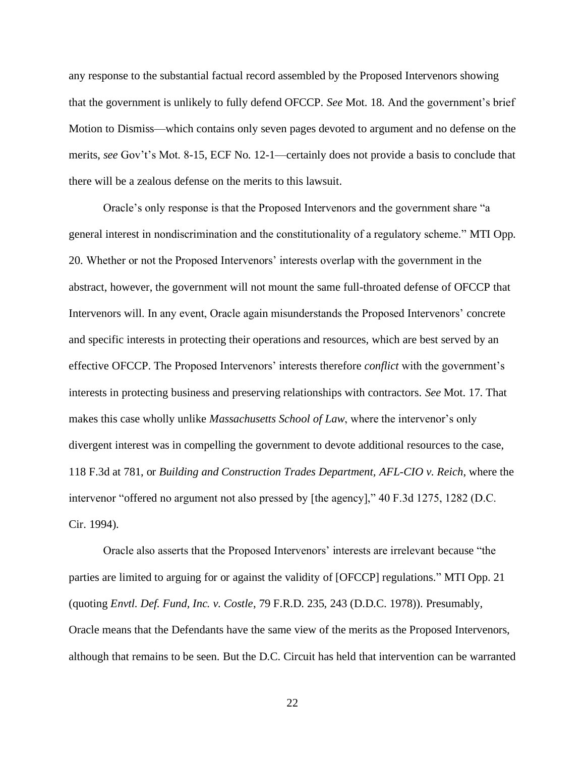any response to the substantial factual record assembled by the Proposed Intervenors showing that the government is unlikely to fully defend OFCCP. *See* Mot. 18. And the government's brief Motion to Dismiss—which contains only seven pages devoted to argument and no defense on the merits, *see* Gov't's Mot. 8-15, ECF No. 12-1—certainly does not provide a basis to conclude that there will be a zealous defense on the merits to this lawsuit.

Oracle's only response is that the Proposed Intervenors and the government share "a general interest in nondiscrimination and the constitutionality of a regulatory scheme." MTI Opp. 20. Whether or not the Proposed Intervenors' interests overlap with the government in the abstract, however, the government will not mount the same full-throated defense of OFCCP that Intervenors will. In any event, Oracle again misunderstands the Proposed Intervenors' concrete and specific interests in protecting their operations and resources, which are best served by an effective OFCCP. The Proposed Intervenors' interests therefore *conflict* with the government's interests in protecting business and preserving relationships with contractors. *See* Mot. 17. That makes this case wholly unlike *Massachusetts School of Law*, where the intervenor's only divergent interest was in compelling the government to devote additional resources to the case, 118 F.3d at 781, or *Building and Construction Trades Department, AFL-CIO v. Reich*, where the intervenor "offered no argument not also pressed by [the agency]," 40 F.3d 1275, 1282 (D.C. Cir. 1994).

<span id="page-28-0"></span>Oracle also asserts that the Proposed Intervenors' interests are irrelevant because "the parties are limited to arguing for or against the validity of [OFCCP] regulations." MTI Opp. 21 (quoting *Envtl. Def. Fund, Inc. v. Costle*, 79 F.R.D. 235, 243 (D.D.C. 1978)). Presumably, Oracle means that the Defendants have the same view of the merits as the Proposed Intervenors, although that remains to be seen. But the D.C. Circuit has held that intervention can be warranted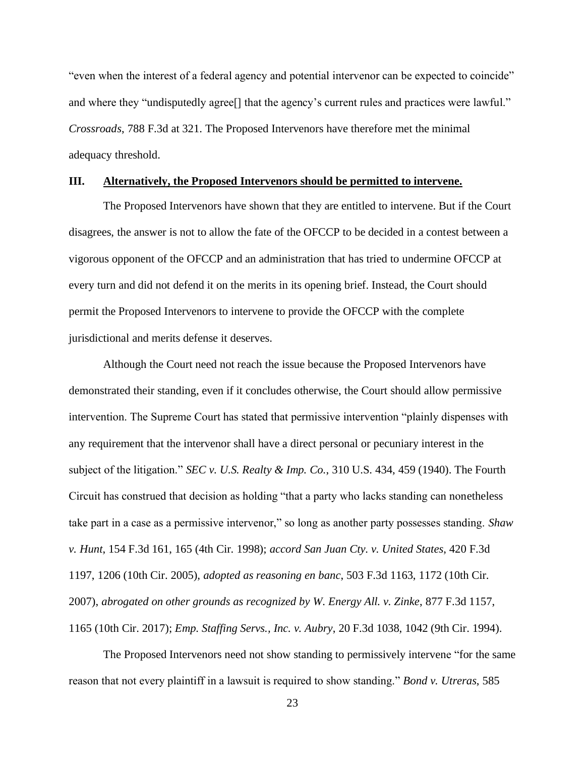<span id="page-29-2"></span>"even when the interest of a federal agency and potential intervenor can be expected to coincide" and where they "undisputedly agree<sup>[]</sup> that the agency's current rules and practices were lawful." *Crossroads*, 788 F.3d at 321. The Proposed Intervenors have therefore met the minimal adequacy threshold.

## <span id="page-29-0"></span>**III. Alternatively, the Proposed Intervenors should be permitted to intervene.**

The Proposed Intervenors have shown that they are entitled to intervene. But if the Court disagrees, the answer is not to allow the fate of the OFCCP to be decided in a contest between a vigorous opponent of the OFCCP and an administration that has tried to undermine OFCCP at every turn and did not defend it on the merits in its opening brief. Instead, the Court should permit the Proposed Intervenors to intervene to provide the OFCCP with the complete jurisdictional and merits defense it deserves.

<span id="page-29-5"></span>Although the Court need not reach the issue because the Proposed Intervenors have demonstrated their standing, even if it concludes otherwise, the Court should allow permissive intervention. The Supreme Court has stated that permissive intervention "plainly dispenses with any requirement that the intervenor shall have a direct personal or pecuniary interest in the subject of the litigation." *SEC v. U.S. Realty & Imp. Co.*, 310 U.S. 434, 459 (1940). The Fourth Circuit has construed that decision as holding "that a party who lacks standing can nonetheless take part in a case as a permissive intervenor," so long as another party possesses standing. *Shaw v. Hunt*, 154 F.3d 161, 165 (4th Cir. 1998); *accord San Juan Cty. v. United States*, 420 F.3d 1197, 1206 (10th Cir. 2005), *adopted as reasoning en banc*, 503 F.3d 1163, 1172 (10th Cir. 2007), *abrogated on other grounds as recognized by W. Energy All. v. Zinke*, 877 F.3d 1157, 1165 (10th Cir. 2017); *Emp. Staffing Servs., Inc. v. Aubry*, 20 F.3d 1038, 1042 (9th Cir. 1994).

<span id="page-29-6"></span><span id="page-29-4"></span><span id="page-29-3"></span><span id="page-29-1"></span>The Proposed Intervenors need not show standing to permissively intervene "for the same reason that not every plaintiff in a lawsuit is required to show standing." *Bond v. Utreras*, 585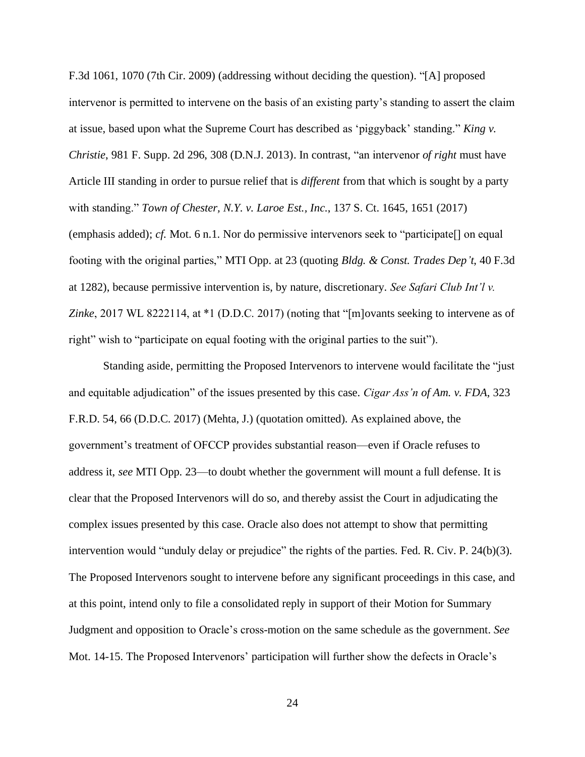<span id="page-30-2"></span><span id="page-30-1"></span>F.3d 1061, 1070 (7th Cir. 2009) (addressing without deciding the question). "[A] proposed intervenor is permitted to intervene on the basis of an existing party's standing to assert the claim at issue, based upon what the Supreme Court has described as 'piggyback' standing." *King v. Christie*, 981 F. Supp. 2d 296, 308 (D.N.J. 2013). In contrast, "an intervenor *of right* must have Article III standing in order to pursue relief that is *different* from that which is sought by a party with standing." *Town of Chester, N.Y. v. Laroe Est., Inc.*, 137 S. Ct. 1645, 1651 (2017) (emphasis added); *cf.* Mot. 6 n.1. Nor do permissive intervenors seek to "participate[] on equal footing with the original parties," MTI Opp. at 23 (quoting *Bldg. & Const. Trades Dep't*, 40 F.3d at 1282), because permissive intervention is, by nature, discretionary. *See Safari Club Int'l v. Zinke*, 2017 WL 8222114, at \*1 (D.D.C. 2017) (noting that "[m]ovants seeking to intervene as of right" wish to "participate on equal footing with the original parties to the suit").

<span id="page-30-3"></span><span id="page-30-0"></span>Standing aside, permitting the Proposed Intervenors to intervene would facilitate the "just and equitable adjudication" of the issues presented by this case. *Cigar Ass'n of Am. v. FDA*, 323 F.R.D. 54, 66 (D.D.C. 2017) (Mehta, J.) (quotation omitted). As explained above, the government's treatment of OFCCP provides substantial reason—even if Oracle refuses to address it, *see* MTI Opp. 23—to doubt whether the government will mount a full defense. It is clear that the Proposed Intervenors will do so, and thereby assist the Court in adjudicating the complex issues presented by this case. Oracle also does not attempt to show that permitting intervention would "unduly delay or prejudice" the rights of the parties. Fed. R. Civ. P. 24(b)(3). The Proposed Intervenors sought to intervene before any significant proceedings in this case, and at this point, intend only to file a consolidated reply in support of their Motion for Summary Judgment and opposition to Oracle's cross-motion on the same schedule as the government. *See*  Mot. 14-15. The Proposed Intervenors' participation will further show the defects in Oracle's